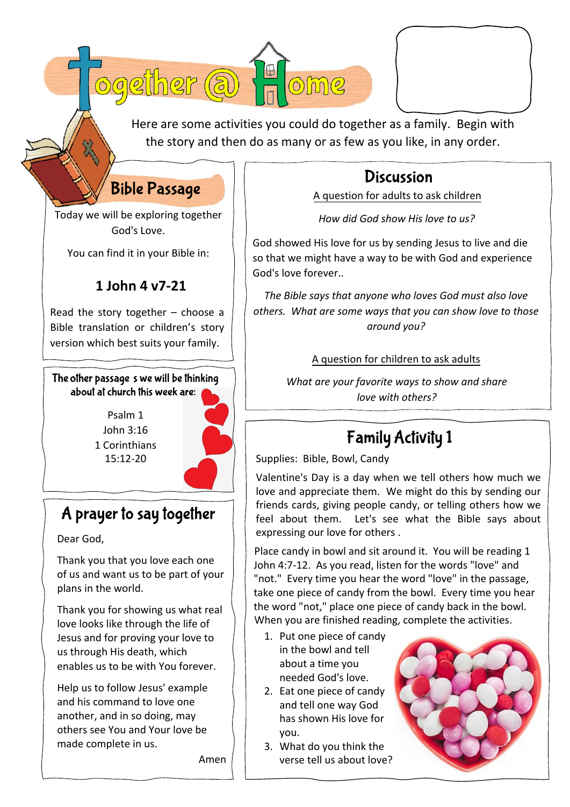| a) Ea<br>021 |  |
|--------------|--|
|              |  |

Here are some activities you could do together as a family. Begin with the story and then do as many or as few as you like, in any order.

## **Discussion**

A question for adults to ask children

*How did God show His love to us?*

God showed His love for us by sending Jesus to live and die so that we might have a way to be with God and experience God's love forever..

*The Bible says that anyone who loves God must also love others. What are some ways that you can show love to those around you?* 

#### A question for children to ask adults

*What are your favorite ways to show and share love with others?* 

# **Family Activity 1**

Supplies: Bible, Bowl, Candy

Valentine's Day is a day when we tell others how much we love and appreciate them. We might do this by sending our friends cards, giving people candy, or telling others how we feel about them. Let's see what the Bible says about expressing our love for others .

Place candy in bowl and sit around it. You will be reading 1 John 4:7-12. As you read, listen for the words "love" and "not." Every time you hear the word "love" in the passage, take one piece of candy from the bowl. Every time you hear the word "not," place one piece of candy back in the bowl. When you are finished reading, complete the activities.

- 1. Put one piece of candy in the bowl and tell about a time you needed God's love.
- 2. Eat one piece of candy and tell one way God has shown His love for you.
- 3. What do you think the verse tell us about love?



Today we will be exploring together God's Love.

**Bible Passage** 

You can find it in your Bible in:

### **1 John 4 v7-21**

Read the story together  $-$  choose a Bible translation or children's story version which best suits your family.

The other passage s we will be thinking about at church this week are:

> Psalm 1 John 3:16 1 Corinthians 15:12-20

## A prayer to say together

Dear God,

Thank you that you love each one of us and want us to be part of your plans in the world.

Thank you for showing us what real love looks like through the life of Jesus and for proving your love to us through His death, which enables us to be with You forever.

Help us to follow Jesus' example and his command to love one another, and in so doing, may others see You and Your love be made complete in us.

Amen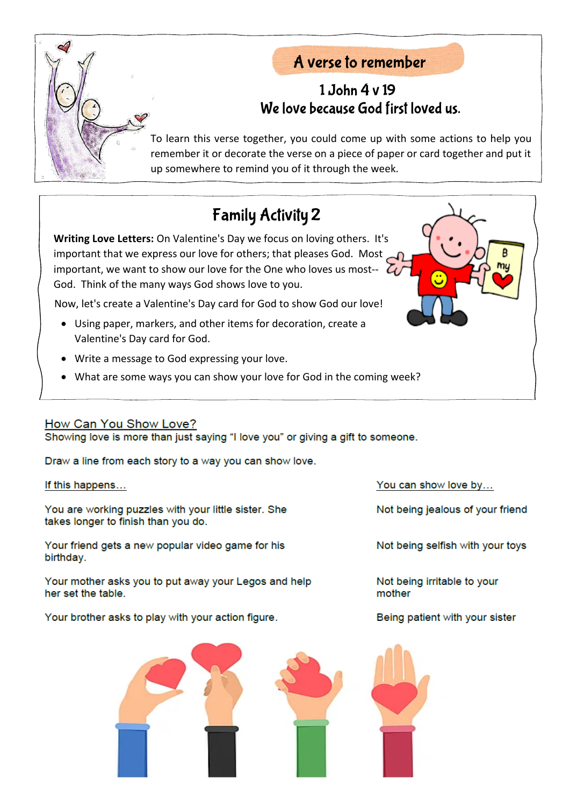

### A verse to remember

### 1 John 4 v 19 We love because God first loved us.

To learn this verse together, you could come up with some actions to help you remember it or decorate the verse on a piece of paper or card together and put it up somewhere to remind you of it through the week.

## **Family Activity 2**

**Writing Love Letters:** On Valentine's Day we focus on loving others. It's important that we express our love for others; that pleases God. Most important, we want to show our love for the One who loves us most--  $\mathcal{L}_L$ God. Think of the many ways God shows love to you.

Now, let's create a Valentine's Day card for God to show God our love!

- Using paper, markers, and other items for decoration, create a Valentine's Day card for God.
- Write a message to God expressing your love.
- What are some ways you can show your love for God in the coming week?

#### How Can You Show Love?

Showing love is more than just saying "I love you" or giving a gift to someone.

Draw a line from each story to a way you can show love.

If this happens...

You are working puzzles with your little sister. She takes longer to finish than you do.

Your friend gets a new popular video game for his birthday.

Your mother asks you to put away your Legos and help her set the table.

Your brother asks to play with your action figure.



You can show love by...

Not being jealous of your friend

Not being selfish with your toys

Not being irritable to your mother

Being patient with your sister

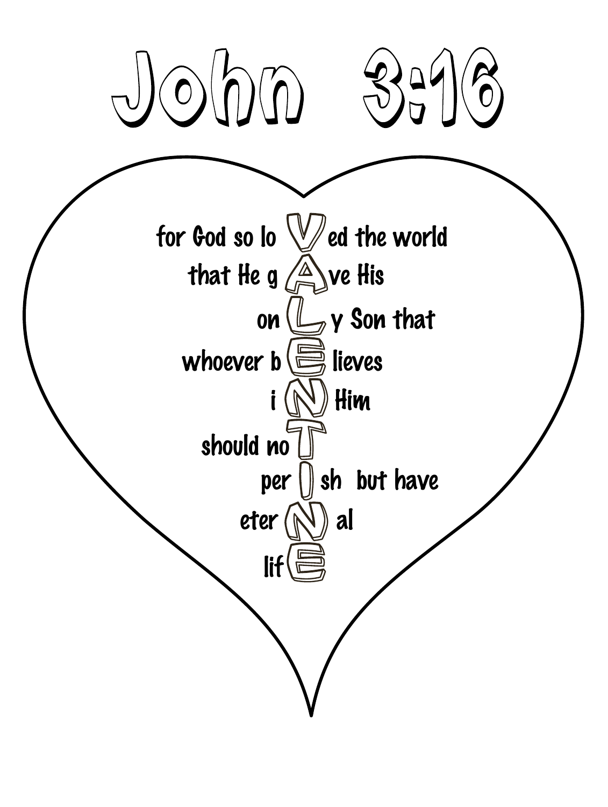